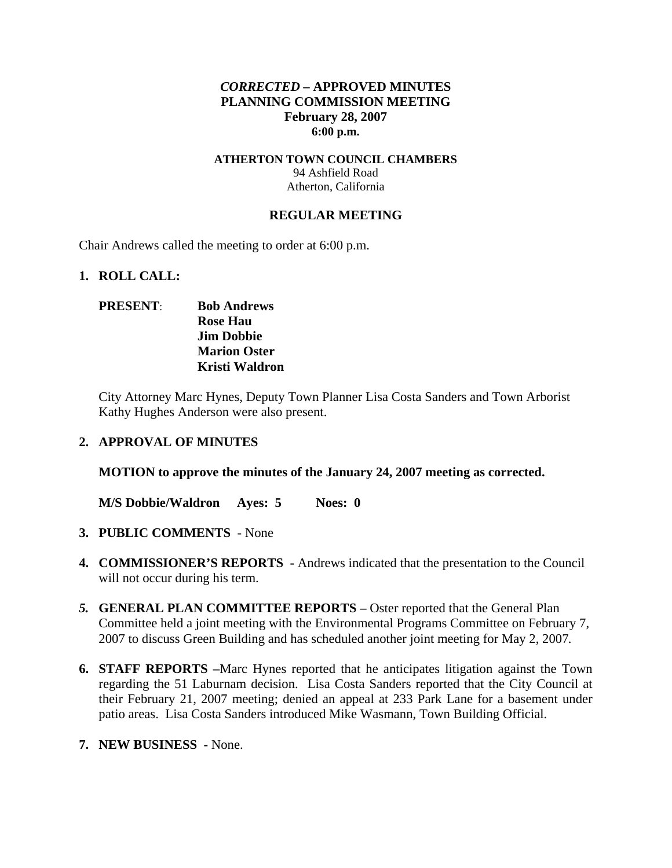### *CORRECTED –* **APPROVED MINUTES PLANNING COMMISSION MEETING February 28, 2007 6:00 p.m.**

#### **ATHERTON TOWN COUNCIL CHAMBERS**  94 Ashfield Road Atherton, California

#### **REGULAR MEETING**

Chair Andrews called the meeting to order at 6:00 p.m.

#### **1. ROLL CALL:**

### **PRESENT**: **Bob Andrews Rose Hau Jim Dobbie Marion Oster Kristi Waldron**

City Attorney Marc Hynes, Deputy Town Planner Lisa Costa Sanders and Town Arborist Kathy Hughes Anderson were also present.

#### **2. APPROVAL OF MINUTES**

**MOTION to approve the minutes of the January 24, 2007 meeting as corrected.** 

**M/S Dobbie/Waldron Ayes: 5 Noes: 0**

- **3. PUBLIC COMMENTS** None
- **4. COMMISSIONER'S REPORTS -** Andrews indicated that the presentation to the Council will not occur during his term.
- *5.* **GENERAL PLAN COMMITTEE REPORTS** Oster reported that the General Plan Committee held a joint meeting with the Environmental Programs Committee on February 7, 2007 to discuss Green Building and has scheduled another joint meeting for May 2, 2007*.*
- **6. STAFF REPORTS –**Marc Hynes reported that he anticipates litigation against the Town regarding the 51 Laburnam decision. Lisa Costa Sanders reported that the City Council at their February 21, 2007 meeting; denied an appeal at 233 Park Lane for a basement under patio areas. Lisa Costa Sanders introduced Mike Wasmann, Town Building Official.
- **7. NEW BUSINESS** None.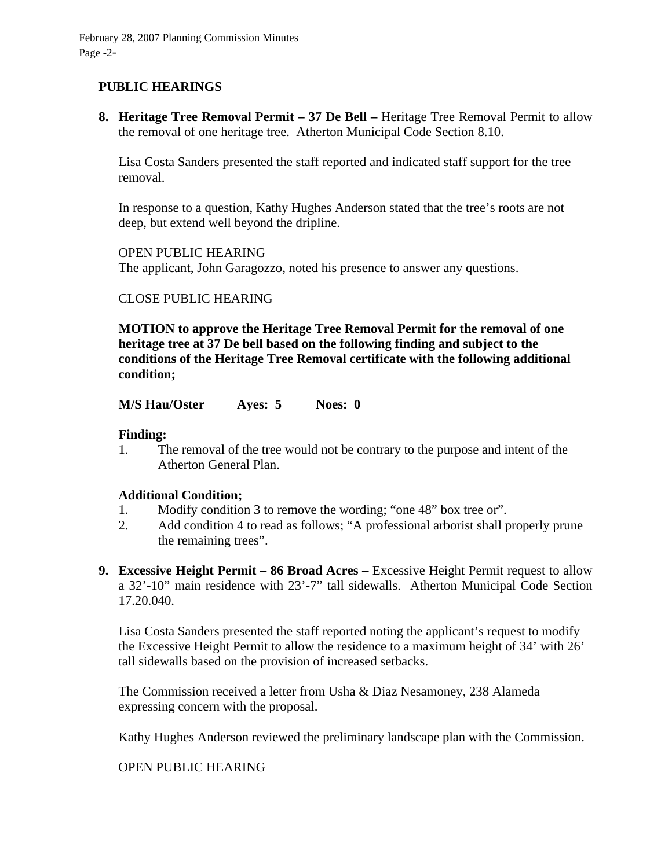# **PUBLIC HEARINGS**

**8. Heritage Tree Removal Permit – 37 De Bell –** Heritage Tree Removal Permit to allow the removal of one heritage tree. Atherton Municipal Code Section 8.10.

Lisa Costa Sanders presented the staff reported and indicated staff support for the tree removal.

In response to a question, Kathy Hughes Anderson stated that the tree's roots are not deep, but extend well beyond the dripline.

OPEN PUBLIC HEARING The applicant, John Garagozzo, noted his presence to answer any questions.

### CLOSE PUBLIC HEARING

**MOTION to approve the Heritage Tree Removal Permit for the removal of one heritage tree at 37 De bell based on the following finding and subject to the conditions of the Heritage Tree Removal certificate with the following additional condition;** 

**M/S Hau/Oster Ayes: 5 Noes: 0** 

#### **Finding:**

1. The removal of the tree would not be contrary to the purpose and intent of the Atherton General Plan.

#### **Additional Condition;**

- 1. Modify condition 3 to remove the wording; "one 48" box tree or".
- 2. Add condition 4 to read as follows; "A professional arborist shall properly prune the remaining trees".
- **9. Excessive Height Permit 86 Broad Acres –** Excessive Height Permit request to allow a 32'-10" main residence with 23'-7" tall sidewalls. Atherton Municipal Code Section 17.20.040.

Lisa Costa Sanders presented the staff reported noting the applicant's request to modify the Excessive Height Permit to allow the residence to a maximum height of 34' with 26' tall sidewalls based on the provision of increased setbacks.

The Commission received a letter from Usha & Diaz Nesamoney, 238 Alameda expressing concern with the proposal.

Kathy Hughes Anderson reviewed the preliminary landscape plan with the Commission.

OPEN PUBLIC HEARING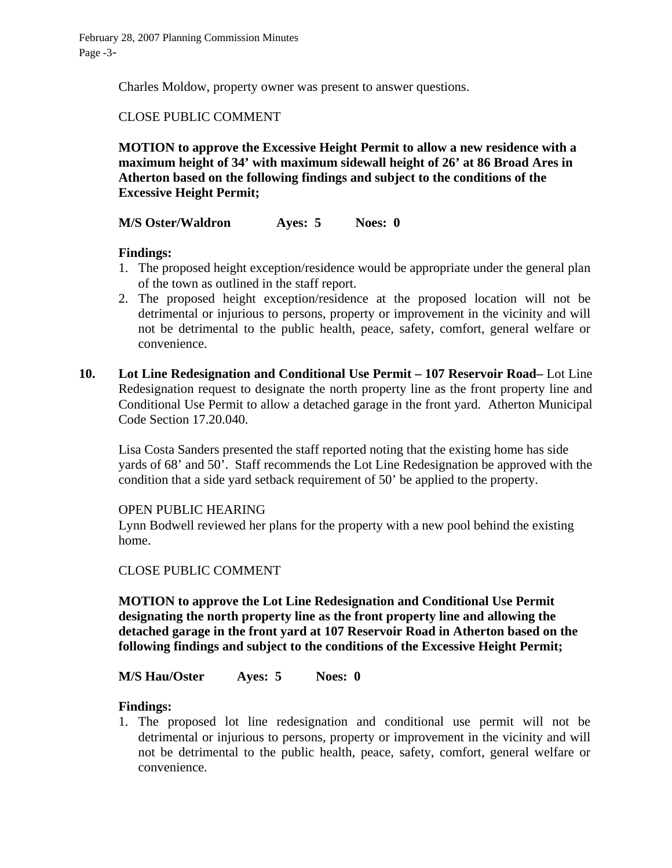Charles Moldow, property owner was present to answer questions.

# CLOSE PUBLIC COMMENT

**MOTION to approve the Excessive Height Permit to allow a new residence with a maximum height of 34' with maximum sidewall height of 26' at 86 Broad Ares in Atherton based on the following findings and subject to the conditions of the Excessive Height Permit;** 

**M/S Oster/Waldron Ayes: 5 Noes: 0** 

### **Findings:**

- 1. The proposed height exception/residence would be appropriate under the general plan of the town as outlined in the staff report.
- 2. The proposed height exception/residence at the proposed location will not be detrimental or injurious to persons, property or improvement in the vicinity and will not be detrimental to the public health, peace, safety, comfort, general welfare or convenience.
- **10. Lot Line Redesignation and Conditional Use Permit 107 Reservoir Road–** Lot Line Redesignation request to designate the north property line as the front property line and Conditional Use Permit to allow a detached garage in the front yard. Atherton Municipal Code Section 17.20.040.

Lisa Costa Sanders presented the staff reported noting that the existing home has side yards of 68' and 50'. Staff recommends the Lot Line Redesignation be approved with the condition that a side yard setback requirement of 50' be applied to the property.

#### OPEN PUBLIC HEARING

Lynn Bodwell reviewed her plans for the property with a new pool behind the existing home.

### CLOSE PUBLIC COMMENT

**MOTION to approve the Lot Line Redesignation and Conditional Use Permit designating the north property line as the front property line and allowing the detached garage in the front yard at 107 Reservoir Road in Atherton based on the following findings and subject to the conditions of the Excessive Height Permit;** 

#### **M/S Hau/Oster Ayes: 5 Noes: 0**

#### **Findings:**

1. The proposed lot line redesignation and conditional use permit will not be detrimental or injurious to persons, property or improvement in the vicinity and will not be detrimental to the public health, peace, safety, comfort, general welfare or convenience.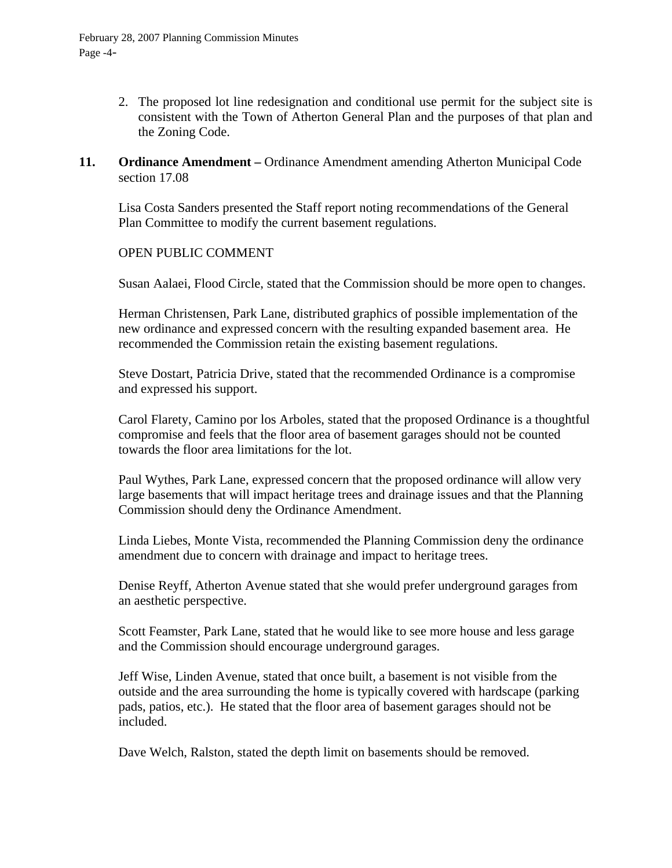- 2. The proposed lot line redesignation and conditional use permit for the subject site is consistent with the Town of Atherton General Plan and the purposes of that plan and the Zoning Code.
- **11. Ordinance Amendment Ordinance Amendment amending Atherton Municipal Code** section 17.08

Lisa Costa Sanders presented the Staff report noting recommendations of the General Plan Committee to modify the current basement regulations.

### OPEN PUBLIC COMMENT

Susan Aalaei, Flood Circle, stated that the Commission should be more open to changes.

Herman Christensen, Park Lane, distributed graphics of possible implementation of the new ordinance and expressed concern with the resulting expanded basement area. He recommended the Commission retain the existing basement regulations.

Steve Dostart, Patricia Drive, stated that the recommended Ordinance is a compromise and expressed his support.

Carol Flarety, Camino por los Arboles, stated that the proposed Ordinance is a thoughtful compromise and feels that the floor area of basement garages should not be counted towards the floor area limitations for the lot.

Paul Wythes, Park Lane, expressed concern that the proposed ordinance will allow very large basements that will impact heritage trees and drainage issues and that the Planning Commission should deny the Ordinance Amendment.

Linda Liebes, Monte Vista, recommended the Planning Commission deny the ordinance amendment due to concern with drainage and impact to heritage trees.

Denise Reyff, Atherton Avenue stated that she would prefer underground garages from an aesthetic perspective.

Scott Feamster, Park Lane, stated that he would like to see more house and less garage and the Commission should encourage underground garages.

Jeff Wise, Linden Avenue, stated that once built, a basement is not visible from the outside and the area surrounding the home is typically covered with hardscape (parking pads, patios, etc.). He stated that the floor area of basement garages should not be included.

Dave Welch, Ralston, stated the depth limit on basements should be removed.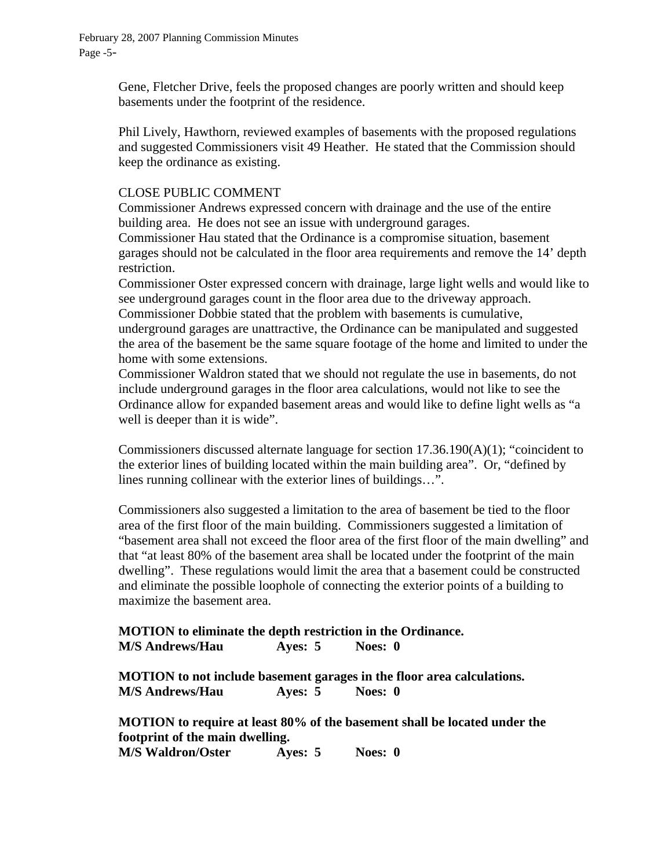Gene, Fletcher Drive, feels the proposed changes are poorly written and should keep basements under the footprint of the residence.

Phil Lively, Hawthorn, reviewed examples of basements with the proposed regulations and suggested Commissioners visit 49 Heather. He stated that the Commission should keep the ordinance as existing.

### CLOSE PUBLIC COMMENT

Commissioner Andrews expressed concern with drainage and the use of the entire building area. He does not see an issue with underground garages.

Commissioner Hau stated that the Ordinance is a compromise situation, basement garages should not be calculated in the floor area requirements and remove the 14' depth restriction.

Commissioner Oster expressed concern with drainage, large light wells and would like to see underground garages count in the floor area due to the driveway approach.

Commissioner Dobbie stated that the problem with basements is cumulative, underground garages are unattractive, the Ordinance can be manipulated and suggested the area of the basement be the same square footage of the home and limited to under the home with some extensions.

Commissioner Waldron stated that we should not regulate the use in basements, do not include underground garages in the floor area calculations, would not like to see the Ordinance allow for expanded basement areas and would like to define light wells as "a well is deeper than it is wide".

Commissioners discussed alternate language for section 17.36.190(A)(1); "coincident to the exterior lines of building located within the main building area". Or, "defined by lines running collinear with the exterior lines of buildings…".

Commissioners also suggested a limitation to the area of basement be tied to the floor area of the first floor of the main building. Commissioners suggested a limitation of "basement area shall not exceed the floor area of the first floor of the main dwelling" and that "at least 80% of the basement area shall be located under the footprint of the main dwelling". These regulations would limit the area that a basement could be constructed and eliminate the possible loophole of connecting the exterior points of a building to maximize the basement area.

**MOTION to eliminate the depth restriction in the Ordinance. M/S Andrews/Hau Ayes: 5 Noes: 0** 

**MOTION to not include basement garages in the floor area calculations. M/S Andrews/Hau Ayes: 5 Noes: 0** 

**MOTION to require at least 80% of the basement shall be located under the footprint of the main dwelling. M/S Waldron/Oster Ayes: 5 Noes: 0**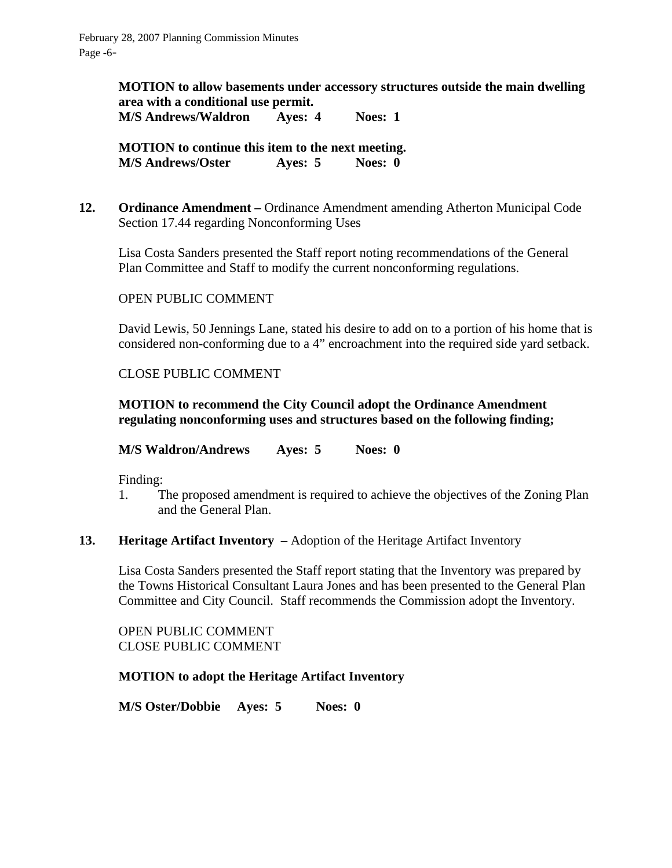**MOTION to allow basements under accessory structures outside the main dwelling area with a conditional use permit.** 

**M/S Andrews/Waldron Ayes: 4 Noes: 1** 

**MOTION to continue this item to the next meeting. M/S Andrews/Oster Ayes: 5 Noes: 0** 

**12. Ordinance Amendment –** Ordinance Amendment amending Atherton Municipal Code Section 17.44 regarding Nonconforming Uses

Lisa Costa Sanders presented the Staff report noting recommendations of the General Plan Committee and Staff to modify the current nonconforming regulations.

### OPEN PUBLIC COMMENT

David Lewis, 50 Jennings Lane, stated his desire to add on to a portion of his home that is considered non-conforming due to a 4" encroachment into the required side yard setback.

### CLOSE PUBLIC COMMENT

### **MOTION to recommend the City Council adopt the Ordinance Amendment regulating nonconforming uses and structures based on the following finding;**

**M/S Waldron/Andrews Ayes: 5 Noes: 0**

Finding:

- 1. The proposed amendment is required to achieve the objectives of the Zoning Plan and the General Plan.
- **13. Heritage Artifact Inventory** Adoption of the Heritage Artifact Inventory

Lisa Costa Sanders presented the Staff report stating that the Inventory was prepared by the Towns Historical Consultant Laura Jones and has been presented to the General Plan Committee and City Council. Staff recommends the Commission adopt the Inventory.

OPEN PUBLIC COMMENT CLOSE PUBLIC COMMENT

#### **MOTION to adopt the Heritage Artifact Inventory**

**M/S Oster/Dobbie Ayes: 5 Noes: 0**